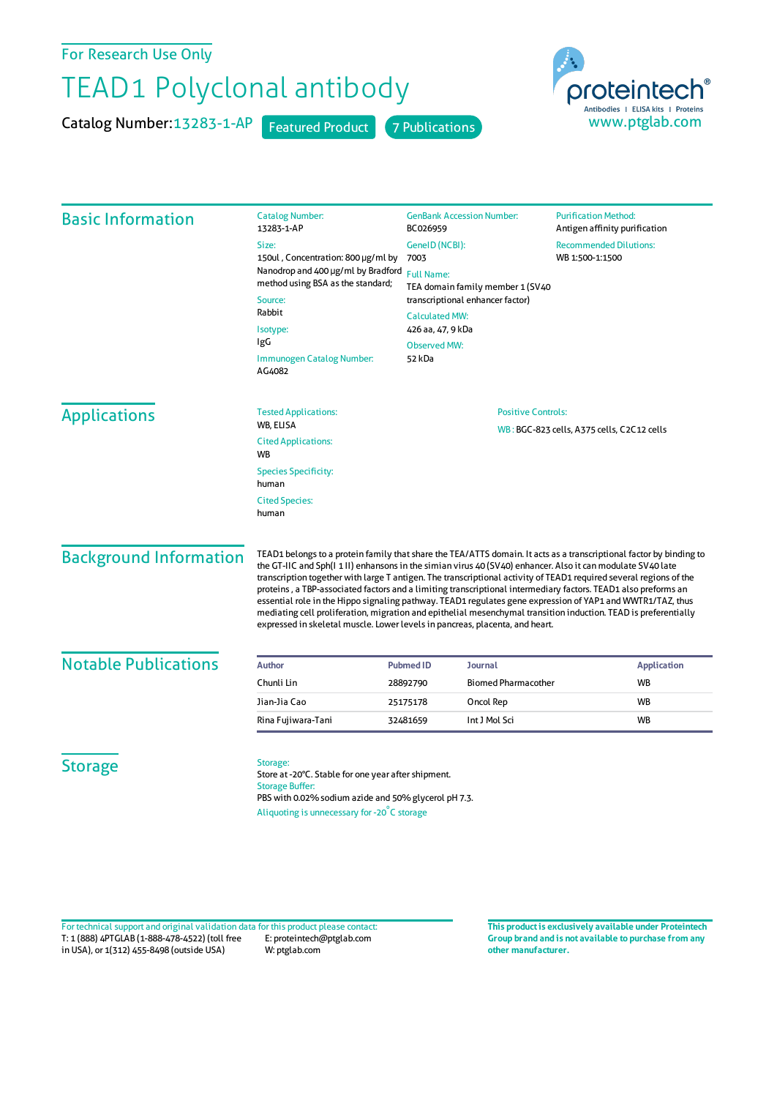For Research Use Only

## TEAD1 Polyclonal antibody

Catalog Number: 13283-1-AP Featured Product 7 Publications



| <b>Basic Information</b>                | <b>Catalog Number:</b><br>13283-1-AP                                                                                                                                                                                                                                                                                                                                                                                                                                                                                                                                                                                                                                                                                                                                                       | <b>GenBank Accession Number:</b><br>BC026959                                                                       | <b>Purification Method:</b><br>Antigen affinity purification |                                            |  |  |
|-----------------------------------------|--------------------------------------------------------------------------------------------------------------------------------------------------------------------------------------------------------------------------------------------------------------------------------------------------------------------------------------------------------------------------------------------------------------------------------------------------------------------------------------------------------------------------------------------------------------------------------------------------------------------------------------------------------------------------------------------------------------------------------------------------------------------------------------------|--------------------------------------------------------------------------------------------------------------------|--------------------------------------------------------------|--------------------------------------------|--|--|
|                                         | Size:                                                                                                                                                                                                                                                                                                                                                                                                                                                                                                                                                                                                                                                                                                                                                                                      | GenelD (NCBI):                                                                                                     | <b>Recommended Dilutions:</b>                                |                                            |  |  |
|                                         | 150ul, Concentration: 800 µg/ml by<br>Nanodrop and 400 µg/ml by Bradford<br>method using BSA as the standard;<br>Source:<br>Rabbit<br>Isotype:<br>IgG<br>Immunogen Catalog Number:<br>AG4082                                                                                                                                                                                                                                                                                                                                                                                                                                                                                                                                                                                               | 7003                                                                                                               | WB 1:500-1:1500                                              |                                            |  |  |
|                                         |                                                                                                                                                                                                                                                                                                                                                                                                                                                                                                                                                                                                                                                                                                                                                                                            | <b>Full Name:</b><br>TEA domain family member 1 (SV40<br>transcriptional enhancer factor)<br><b>Calculated MW:</b> |                                                              |                                            |  |  |
|                                         |                                                                                                                                                                                                                                                                                                                                                                                                                                                                                                                                                                                                                                                                                                                                                                                            |                                                                                                                    |                                                              | 426 aa, 47, 9 kDa                          |  |  |
|                                         |                                                                                                                                                                                                                                                                                                                                                                                                                                                                                                                                                                                                                                                                                                                                                                                            |                                                                                                                    |                                                              | <b>Observed MW:</b>                        |  |  |
|                                         |                                                                                                                                                                                                                                                                                                                                                                                                                                                                                                                                                                                                                                                                                                                                                                                            | 52 kDa                                                                                                             |                                                              |                                            |  |  |
|                                         |                                                                                                                                                                                                                                                                                                                                                                                                                                                                                                                                                                                                                                                                                                                                                                                            | <b>Applications</b>                                                                                                | <b>Tested Applications:</b>                                  | <b>Positive Controls:</b>                  |  |  |
|                                         |                                                                                                                                                                                                                                                                                                                                                                                                                                                                                                                                                                                                                                                                                                                                                                                            |                                                                                                                    | WB, ELISA                                                    | WB: BGC-823 cells, A375 cells, C2C12 cells |  |  |
| <b>Cited Applications:</b><br><b>WB</b> |                                                                                                                                                                                                                                                                                                                                                                                                                                                                                                                                                                                                                                                                                                                                                                                            |                                                                                                                    |                                                              |                                            |  |  |
| <b>Species Specificity:</b><br>human    |                                                                                                                                                                                                                                                                                                                                                                                                                                                                                                                                                                                                                                                                                                                                                                                            |                                                                                                                    |                                                              |                                            |  |  |
| <b>Cited Species:</b><br>human          |                                                                                                                                                                                                                                                                                                                                                                                                                                                                                                                                                                                                                                                                                                                                                                                            |                                                                                                                    |                                                              |                                            |  |  |
| <b>Background Information</b>           | TEAD1 belongs to a protein family that share the TEA/ATTS domain. It acts as a transcriptional factor by binding to<br>the GT-IIC and Sph(I 1II) enhansons in the simian virus 40 (SV40) enhancer. Also it can modulate SV40 late<br>transcription together with large T antigen. The transcriptional activity of TEAD1 required several regions of the<br>proteins, a TBP-associated factors and a limiting transcriptional intermediary factors. TEAD1 also preforms an<br>essential role in the Hippo signaling pathway. TEAD1 regulates gene expression of YAP1 and WWTR1/TAZ, thus<br>mediating cell proliferation, migration and epithelial mesenchymal transition induction. TEAD is preferentially<br>expressed in skeletal muscle. Lower levels in pancreas, placenta, and heart. |                                                                                                                    |                                                              |                                            |  |  |
| <b>Notable Publications</b>             | <b>Author</b>                                                                                                                                                                                                                                                                                                                                                                                                                                                                                                                                                                                                                                                                                                                                                                              | <b>Pubmed ID</b><br>Journal                                                                                        | <b>Application</b>                                           |                                            |  |  |
|                                         | Chunli Lin                                                                                                                                                                                                                                                                                                                                                                                                                                                                                                                                                                                                                                                                                                                                                                                 | <b>Biomed Pharmacother</b><br>28892790                                                                             | <b>WB</b>                                                    |                                            |  |  |
|                                         | Jian-Jia Cao                                                                                                                                                                                                                                                                                                                                                                                                                                                                                                                                                                                                                                                                                                                                                                               | 25175178<br>Oncol Rep                                                                                              | WB                                                           |                                            |  |  |
|                                         | Rina Fujiwara-Tani                                                                                                                                                                                                                                                                                                                                                                                                                                                                                                                                                                                                                                                                                                                                                                         | Int J Mol Sci<br>32481659                                                                                          | <b>WB</b>                                                    |                                            |  |  |
| <b>Storage</b>                          | Storage:<br>Store at -20°C. Stable for one year after shipment.<br><b>Storage Buffer:</b><br>PBS with 0.02% sodium azide and 50% glycerol pH 7.3.<br>Aliquoting is unnecessary for -20°C storage                                                                                                                                                                                                                                                                                                                                                                                                                                                                                                                                                                                           |                                                                                                                    |                                                              |                                            |  |  |

T: 1 (888) 4PTGLAB (1-888-478-4522) (toll free in USA), or 1(312) 455-8498 (outside USA) E: proteintech@ptglab.com W: ptglab.com Fortechnical support and original validation data forthis product please contact: **This productis exclusively available under Proteintech**

**Group brand and is not available to purchase from any other manufacturer.**